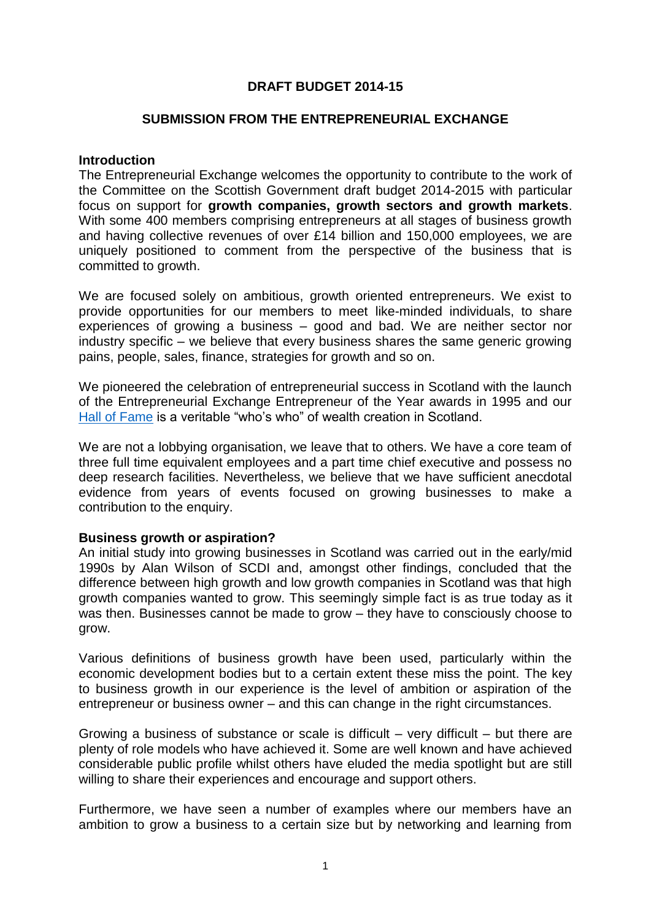# **DRAFT BUDGET 2014-15**

## **SUBMISSION FROM THE ENTREPRENEURIAL EXCHANGE**

#### **Introduction**

The Entrepreneurial Exchange welcomes the opportunity to contribute to the work of the Committee on the Scottish Government draft budget 2014-2015 with particular focus on support for **growth companies, growth sectors and growth markets**. With some 400 members comprising entrepreneurs at all stages of business growth and having collective revenues of over £14 billion and 150,000 employees, we are uniquely positioned to comment from the perspective of the business that is committed to growth.

We are focused solely on ambitious, growth oriented entrepreneurs. We exist to provide opportunities for our members to meet like-minded individuals, to share experiences of growing a business – good and bad. We are neither sector nor industry specific – we believe that every business shares the same generic growing pains, people, sales, finance, strategies for growth and so on.

We pioneered the celebration of entrepreneurial success in Scotland with the launch of the Entrepreneurial Exchange Entrepreneur of the Year awards in 1995 and our [Hall of Fame](http://www.entrepreneurial-exchange.co.uk/hall-of-fame/hall-fame-members/) is a veritable "who's who" of wealth creation in Scotland.

We are not a lobbying organisation, we leave that to others. We have a core team of three full time equivalent employees and a part time chief executive and possess no deep research facilities. Nevertheless, we believe that we have sufficient anecdotal evidence from years of events focused on growing businesses to make a contribution to the enquiry.

# **Business growth or aspiration?**

An initial study into growing businesses in Scotland was carried out in the early/mid 1990s by Alan Wilson of SCDI and, amongst other findings, concluded that the difference between high growth and low growth companies in Scotland was that high growth companies wanted to grow. This seemingly simple fact is as true today as it was then. Businesses cannot be made to grow – they have to consciously choose to grow.

Various definitions of business growth have been used, particularly within the economic development bodies but to a certain extent these miss the point. The key to business growth in our experience is the level of ambition or aspiration of the entrepreneur or business owner – and this can change in the right circumstances.

Growing a business of substance or scale is difficult  $-$  very difficult  $-$  but there are plenty of role models who have achieved it. Some are well known and have achieved considerable public profile whilst others have eluded the media spotlight but are still willing to share their experiences and encourage and support others.

Furthermore, we have seen a number of examples where our members have an ambition to grow a business to a certain size but by networking and learning from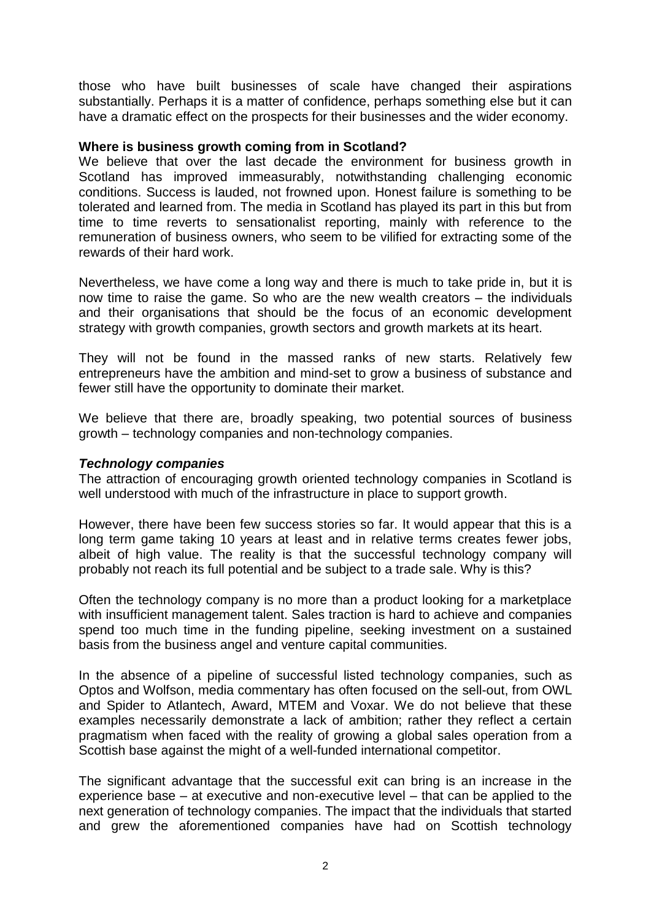those who have built businesses of scale have changed their aspirations substantially. Perhaps it is a matter of confidence, perhaps something else but it can have a dramatic effect on the prospects for their businesses and the wider economy.

## **Where is business growth coming from in Scotland?**

We believe that over the last decade the environment for business growth in Scotland has improved immeasurably, notwithstanding challenging economic conditions. Success is lauded, not frowned upon. Honest failure is something to be tolerated and learned from. The media in Scotland has played its part in this but from time to time reverts to sensationalist reporting, mainly with reference to the remuneration of business owners, who seem to be vilified for extracting some of the rewards of their hard work.

Nevertheless, we have come a long way and there is much to take pride in, but it is now time to raise the game. So who are the new wealth creators – the individuals and their organisations that should be the focus of an economic development strategy with growth companies, growth sectors and growth markets at its heart.

They will not be found in the massed ranks of new starts. Relatively few entrepreneurs have the ambition and mind-set to grow a business of substance and fewer still have the opportunity to dominate their market.

We believe that there are, broadly speaking, two potential sources of business growth – technology companies and non-technology companies.

#### *Technology companies*

The attraction of encouraging growth oriented technology companies in Scotland is well understood with much of the infrastructure in place to support growth.

However, there have been few success stories so far. It would appear that this is a long term game taking 10 years at least and in relative terms creates fewer jobs, albeit of high value. The reality is that the successful technology company will probably not reach its full potential and be subject to a trade sale. Why is this?

Often the technology company is no more than a product looking for a marketplace with insufficient management talent. Sales traction is hard to achieve and companies spend too much time in the funding pipeline, seeking investment on a sustained basis from the business angel and venture capital communities.

In the absence of a pipeline of successful listed technology companies, such as Optos and Wolfson, media commentary has often focused on the sell-out, from OWL and Spider to Atlantech, Award, MTEM and Voxar. We do not believe that these examples necessarily demonstrate a lack of ambition; rather they reflect a certain pragmatism when faced with the reality of growing a global sales operation from a Scottish base against the might of a well-funded international competitor.

The significant advantage that the successful exit can bring is an increase in the experience base – at executive and non-executive level – that can be applied to the next generation of technology companies. The impact that the individuals that started and grew the aforementioned companies have had on Scottish technology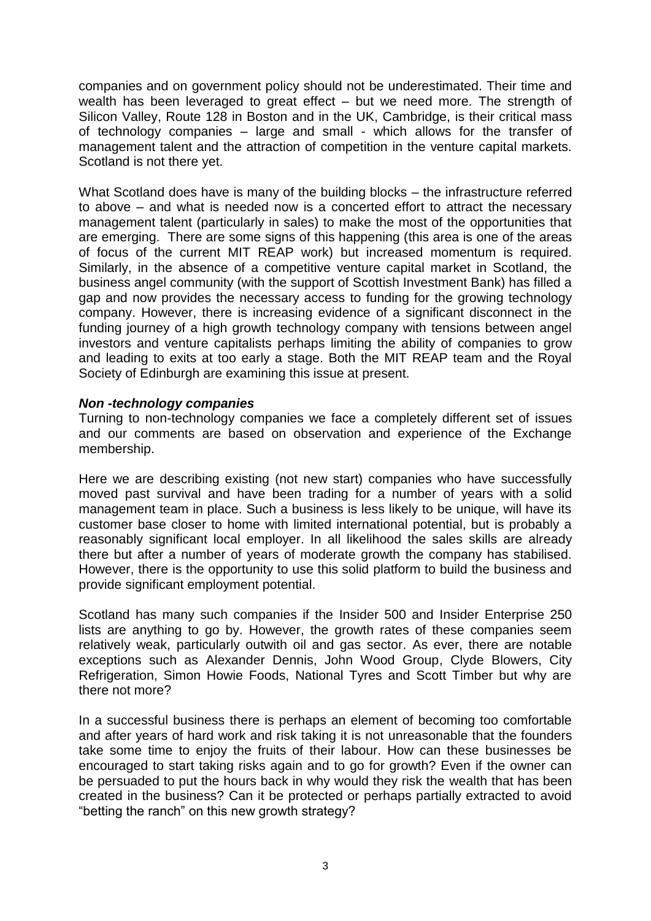companies and on government policy should not be underestimated. Their time and wealth has been leveraged to great effect – but we need more. The strength of Silicon Valley, Route 128 in Boston and in the UK, Cambridge, is their critical mass of technology companies – large and small - which allows for the transfer of management talent and the attraction of competition in the venture capital markets. Scotland is not there yet.

What Scotland does have is many of the building blocks – the infrastructure referred to above – and what is needed now is a concerted effort to attract the necessary management talent (particularly in sales) to make the most of the opportunities that are emerging. There are some signs of this happening (this area is one of the areas of focus of the current MIT REAP work) but increased momentum is required. Similarly, in the absence of a competitive venture capital market in Scotland, the business angel community (with the support of Scottish Investment Bank) has filled a gap and now provides the necessary access to funding for the growing technology company. However, there is increasing evidence of a significant disconnect in the funding journey of a high growth technology company with tensions between angel investors and venture capitalists perhaps limiting the ability of companies to grow and leading to exits at too early a stage. Both the MIT REAP team and the Royal Society of Edinburgh are examining this issue at present.

### *Non -technology companies*

Turning to non-technology companies we face a completely different set of issues and our comments are based on observation and experience of the Exchange membership.

Here we are describing existing (not new start) companies who have successfully moved past survival and have been trading for a number of years with a solid management team in place. Such a business is less likely to be unique, will have its customer base closer to home with limited international potential, but is probably a reasonably significant local employer. In all likelihood the sales skills are already there but after a number of years of moderate growth the company has stabilised. However, there is the opportunity to use this solid platform to build the business and provide significant employment potential.

Scotland has many such companies if the Insider 500 and Insider Enterprise 250 lists are anything to go by. However, the growth rates of these companies seem relatively weak, particularly outwith oil and gas sector. As ever, there are notable exceptions such as Alexander Dennis, John Wood Group, Clyde Blowers, City Refrigeration, Simon Howie Foods, National Tyres and Scott Timber but why are there not more?

In a successful business there is perhaps an element of becoming too comfortable and after years of hard work and risk taking it is not unreasonable that the founders take some time to enjoy the fruits of their labour. How can these businesses be encouraged to start taking risks again and to go for growth? Even if the owner can be persuaded to put the hours back in why would they risk the wealth that has been created in the business? Can it be protected or perhaps partially extracted to avoid "betting the ranch" on this new growth strategy?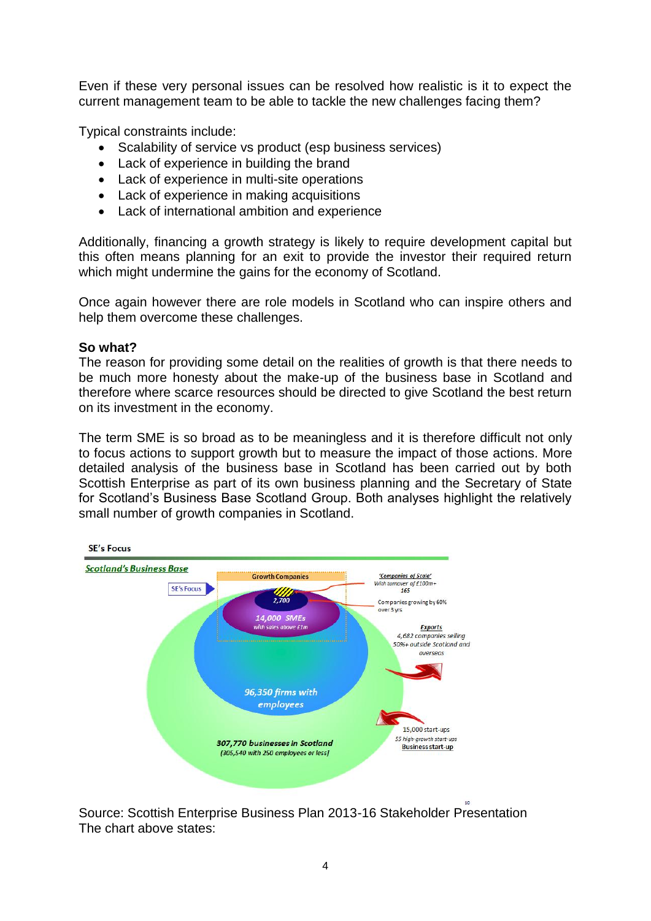Even if these very personal issues can be resolved how realistic is it to expect the current management team to be able to tackle the new challenges facing them?

Typical constraints include:

- Scalability of service vs product (esp business services)
- Lack of experience in building the brand
- Lack of experience in multi-site operations
- Lack of experience in making acquisitions
- Lack of international ambition and experience

Additionally, financing a growth strategy is likely to require development capital but this often means planning for an exit to provide the investor their required return which might undermine the gains for the economy of Scotland.

Once again however there are role models in Scotland who can inspire others and help them overcome these challenges.

# **So what?**

The reason for providing some detail on the realities of growth is that there needs to be much more honesty about the make-up of the business base in Scotland and therefore where scarce resources should be directed to give Scotland the best return on its investment in the economy.

The term SME is so broad as to be meaningless and it is therefore difficult not only to focus actions to support growth but to measure the impact of those actions. More detailed analysis of the business base in Scotland has been carried out by both Scottish Enterprise as part of its own business planning and the Secretary of State for Scotland's Business Base Scotland Group. Both analyses highlight the relatively small number of growth companies in Scotland.



Source: Scottish Enterprise Business Plan 2013-16 Stakeholder Presentation The chart above states: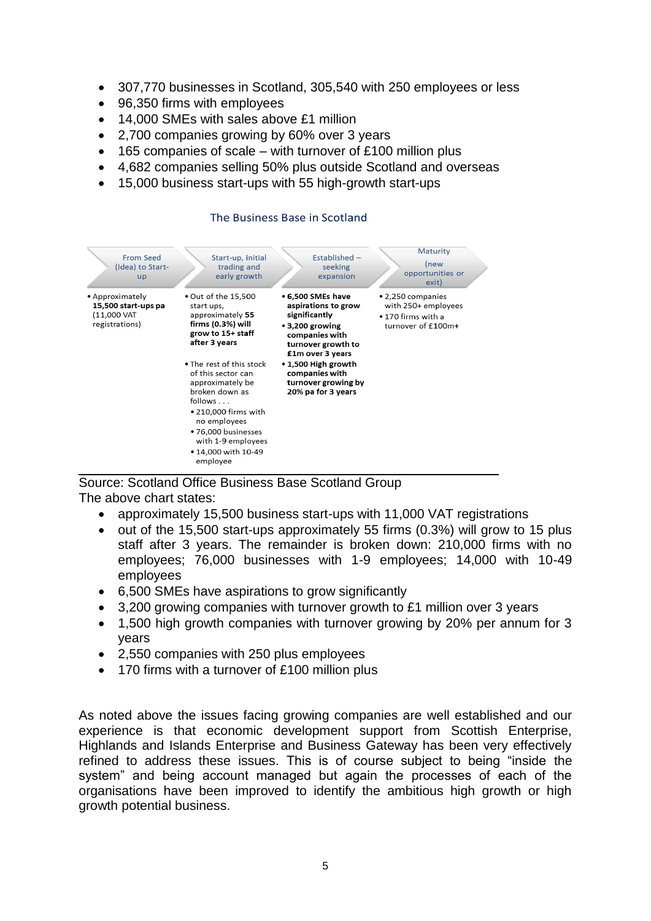- 307,770 businesses in Scotland, 305,540 with 250 employees or less
- 96,350 firms with employees
- 14,000 SMEs with sales above £1 million
- 2,700 companies growing by 60% over 3 years
- 165 companies of scale with turnover of £100 million plus
- 4,682 companies selling 50% plus outside Scotland and overseas
- 15,000 business start-ups with 55 high-growth start-ups

| <b>From Seed</b><br>(Idea) to Start-<br>up                              | Start-up, initial<br>trading and<br>early growth                                                                                                                                                                                                                                                                                            | Established -<br>seeking<br>expansion                                                                                                                                                                                                | Maturity<br>(new<br>opportunities or<br>exit)                                        |
|-------------------------------------------------------------------------|---------------------------------------------------------------------------------------------------------------------------------------------------------------------------------------------------------------------------------------------------------------------------------------------------------------------------------------------|--------------------------------------------------------------------------------------------------------------------------------------------------------------------------------------------------------------------------------------|--------------------------------------------------------------------------------------|
| • Approximately<br>15,500 start-ups pa<br>(11,000 VAT<br>registrations) | • Out of the 15,500<br>start ups,<br>approximately 55<br>firms (0.3%) will<br>grow to 15+ staff<br>after 3 years<br>• The rest of this stock<br>of this sector can<br>approximately be<br>broken down as<br>follows<br>• 210,000 firms with<br>no employees<br>• 76,000 businesses<br>with 1-9 employees<br>• 14,000 with 10-49<br>employee | • 6,500 SMEs have<br>aspirations to grow<br>significantly<br>$\cdot$ 3,200 growing<br>companies with<br>turnover growth to<br>£1m over 3 years<br>• 1,500 High growth<br>companies with<br>turnover growing by<br>20% pa for 3 years | • 2,250 companies<br>with 250+ employees<br>• 170 firms with a<br>turnover of £100m+ |

#### The Business Base in Scotland

Source: Scotland Office Business Base Scotland Group The above chart states:

- approximately 15,500 business start-ups with 11,000 VAT registrations
- $\bullet$  out of the 15,500 start-ups approximately 55 firms (0.3%) will grow to 15 plus staff after 3 years. The remainder is broken down: 210,000 firms with no employees; 76,000 businesses with 1-9 employees; 14,000 with 10-49 employees
- 6,500 SMEs have aspirations to grow significantly
- 3,200 growing companies with turnover growth to £1 million over 3 years
- 1,500 high growth companies with turnover growing by 20% per annum for 3 years
- 2,550 companies with 250 plus employees
- 170 firms with a turnover of £100 million plus

As noted above the issues facing growing companies are well established and our experience is that economic development support from Scottish Enterprise, Highlands and Islands Enterprise and Business Gateway has been very effectively refined to address these issues. This is of course subject to being "inside the system" and being account managed but again the processes of each of the organisations have been improved to identify the ambitious high growth or high growth potential business.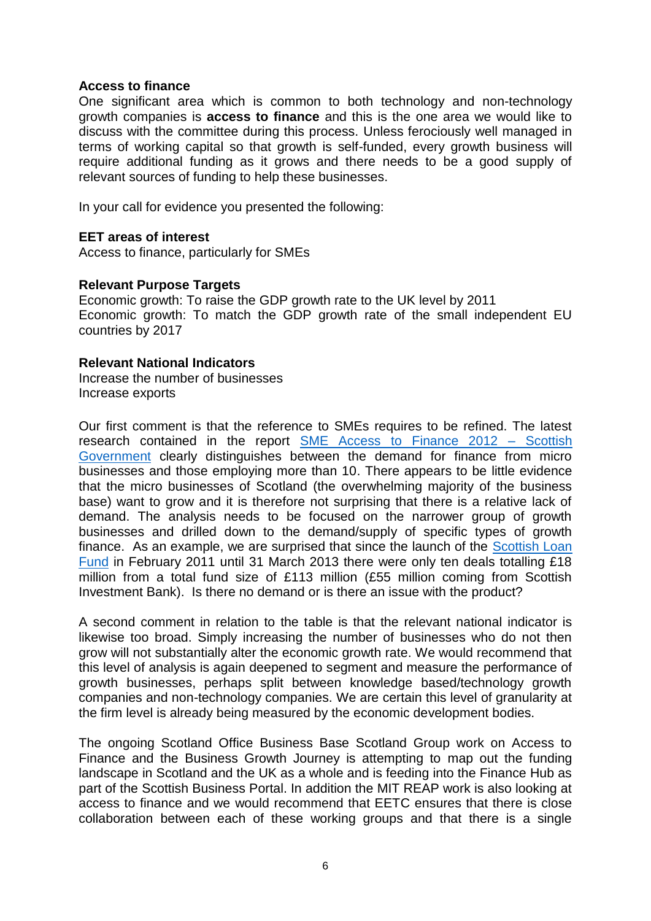### **Access to finance**

One significant area which is common to both technology and non-technology growth companies is **access to finance** and this is the one area we would like to discuss with the committee during this process. Unless ferociously well managed in terms of working capital so that growth is self-funded, every growth business will require additional funding as it grows and there needs to be a good supply of relevant sources of funding to help these businesses.

In your call for evidence you presented the following:

# **EET areas of interest**

Access to finance, particularly for SMEs

# **Relevant Purpose Targets**

Economic growth: To raise the GDP growth rate to the UK level by 2011 Economic growth: To match the GDP growth rate of the small independent EU countries by 2017

### **Relevant National Indicators**

Increase the number of businesses Increase exports

Our first comment is that the reference to SMEs requires to be refined. The latest research contained in the report [SME Access to Finance 2012 –](http://www.google.co.uk/url?sa=t&rct=j&q=&esrc=s&source=web&cd=1&ved=0CDEQFjAA&url=http%3A%2F%2Fwww.scotland.gov.uk%2FResource%2F0039%2F00396501.pdf&ei=dpcdUoXhCuTA0QXg0oGQBA&usg=AFQjCNGcQScZj-K_ID9YinWEv6vLFpmK7Q&sig2=1Sfv0zfESc1824-T4Or65Q&bvm=bv.51156542,d.d2k&cad=rja) Scottish [Government](http://www.google.co.uk/url?sa=t&rct=j&q=&esrc=s&source=web&cd=1&ved=0CDEQFjAA&url=http%3A%2F%2Fwww.scotland.gov.uk%2FResource%2F0039%2F00396501.pdf&ei=dpcdUoXhCuTA0QXg0oGQBA&usg=AFQjCNGcQScZj-K_ID9YinWEv6vLFpmK7Q&sig2=1Sfv0zfESc1824-T4Or65Q&bvm=bv.51156542,d.d2k&cad=rja) clearly distinguishes between the demand for finance from micro businesses and those employing more than 10. There appears to be little evidence that the micro businesses of Scotland (the overwhelming majority of the business base) want to grow and it is therefore not surprising that there is a relative lack of demand. The analysis needs to be focused on the narrower group of growth businesses and drilled down to the demand/supply of specific types of growth finance. As an example, we are surprised that since the launch of the [Scottish Loan](http://www.scottish-enterprise.com/fund-your-business/scottish-investment-bank/scottish-loan-fund.aspx)  [Fund](http://www.scottish-enterprise.com/fund-your-business/scottish-investment-bank/scottish-loan-fund.aspx) in February 2011 until 31 March 2013 there were only ten deals totalling £18 million from a total fund size of £113 million (£55 million coming from Scottish Investment Bank). Is there no demand or is there an issue with the product?

A second comment in relation to the table is that the relevant national indicator is likewise too broad. Simply increasing the number of businesses who do not then grow will not substantially alter the economic growth rate. We would recommend that this level of analysis is again deepened to segment and measure the performance of growth businesses, perhaps split between knowledge based/technology growth companies and non-technology companies. We are certain this level of granularity at the firm level is already being measured by the economic development bodies.

The ongoing Scotland Office Business Base Scotland Group work on Access to Finance and the Business Growth Journey is attempting to map out the funding landscape in Scotland and the UK as a whole and is feeding into the Finance Hub as part of the Scottish Business Portal. In addition the MIT REAP work is also looking at access to finance and we would recommend that EETC ensures that there is close collaboration between each of these working groups and that there is a single